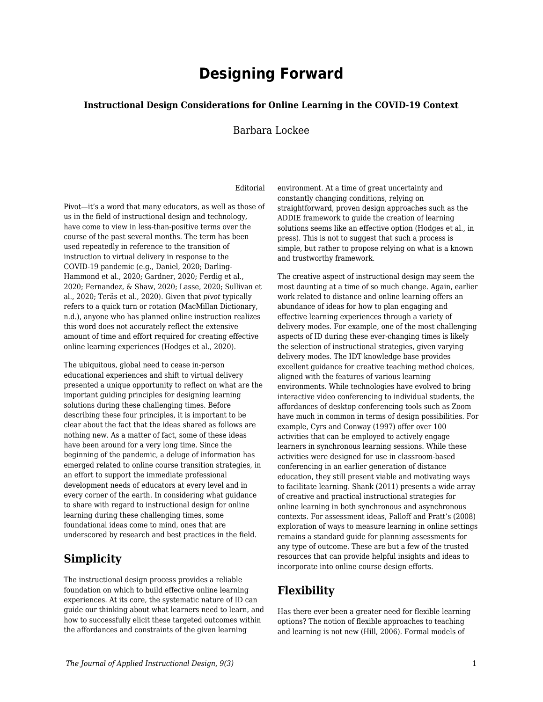# **Designing Forward**

#### **Instructional Design Considerations for Online Learning in the COVID-19 Context**

#### Barbara Lockee

#### Editorial

Pivot—it's a word that many educators, as well as those of us in the field of instructional design and technology, have come to view in less-than-positive terms over the course of the past several months. The term has been used repeatedly in reference to the transition of instruction to virtual delivery in response to the COVID-19 pandemic (e.g., Daniel, 2020; Darling-Hammond et al., 2020; Gardner, 2020; Ferdig et al., 2020; Fernandez, & Shaw, 2020; Lasse, 2020; Sullivan et al., 2020; Teräs et al., 2020). Given that *pivot* typically refers to a quick turn or rotation (MacMillan Dictionary, n.d.), anyone who has planned online instruction realizes this word does not accurately reflect the extensive amount of time and effort required for creating effective online learning experiences (Hodges et al., 2020).

The ubiquitous, global need to cease in-person educational experiences and shift to virtual delivery presented a unique opportunity to reflect on what are the important guiding principles for designing learning solutions during these challenging times. Before describing these four principles, it is important to be clear about the fact that the ideas shared as follows are nothing new. As a matter of fact, some of these ideas have been around for a very long time. Since the beginning of the pandemic, a deluge of information has emerged related to online course transition strategies, in an effort to support the immediate professional development needs of educators at every level and in every corner of the earth. In considering what guidance to share with regard to instructional design for online learning during these challenging times, some foundational ideas come to mind, ones that are underscored by research and best practices in the field.

### **Simplicity**

The instructional design process provides a reliable foundation on which to build effective online learning experiences. At its core, the systematic nature of ID can guide our thinking about what learners need to learn, and how to successfully elicit these targeted outcomes within the affordances and constraints of the given learning

environment. At a time of great uncertainty and constantly changing conditions, relying on straightforward, proven design approaches such as the ADDIE framework to guide the creation of learning solutions seems like an effective option (Hodges et al., in press). This is not to suggest that such a process is simple, but rather to propose relying on what is a known and trustworthy framework.

The creative aspect of instructional design may seem the most daunting at a time of so much change. Again, earlier work related to distance and online learning offers an abundance of ideas for how to plan engaging and effective learning experiences through a variety of delivery modes. For example, one of the most challenging aspects of ID during these ever-changing times is likely the selection of instructional strategies, given varying delivery modes. The IDT knowledge base provides excellent guidance for creative teaching method choices, aligned with the features of various learning environments. While technologies have evolved to bring interactive video conferencing to individual students, the affordances of desktop conferencing tools such as Zoom have much in common in terms of design possibilities. For example, Cyrs and Conway (1997) offer over 100 activities that can be employed to actively engage learners in synchronous learning sessions. While these activities were designed for use in classroom-based conferencing in an earlier generation of distance education, they still present viable and motivating ways to facilitate learning. Shank (2011) presents a wide array of creative and practical instructional strategies for online learning in both synchronous and asynchronous contexts. For assessment ideas, Palloff and Pratt's (2008) exploration of ways to measure learning in online settings remains a standard guide for planning assessments for any type of outcome. These are but a few of the trusted resources that can provide helpful insights and ideas to incorporate into online course design efforts.

## **Flexibility**

Has there ever been a greater need for flexible learning options? The notion of flexible approaches to teaching and learning is not new (Hill, 2006). Formal models of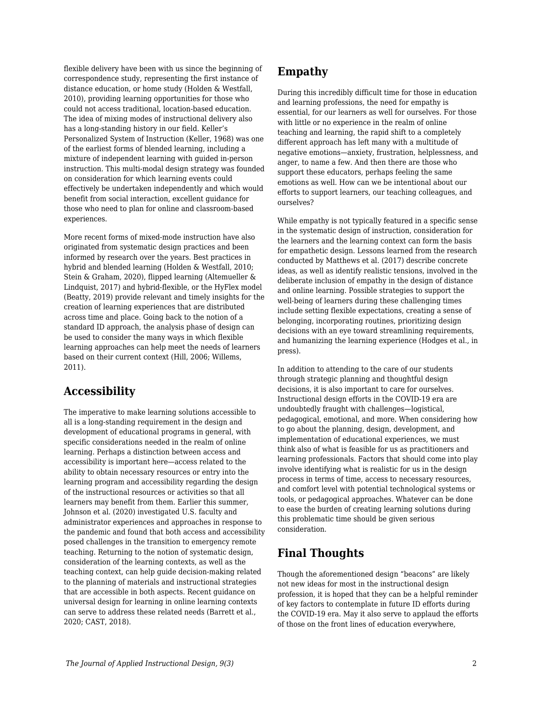flexible delivery have been with us since the beginning of correspondence study, representing the first instance of distance education, or home study (Holden & Westfall, 2010), providing learning opportunities for those who could not access traditional, location-based education. The idea of mixing modes of instructional delivery also has a long-standing history in our field. Keller's Personalized System of Instruction (Keller, 1968) was one of the earliest forms of blended learning, including a mixture of independent learning with guided in-person instruction. This multi-modal design strategy was founded on consideration for which learning events could effectively be undertaken independently and which would benefit from social interaction, excellent guidance for those who need to plan for online and classroom-based experiences.

More recent forms of mixed-mode instruction have also originated from systematic design practices and been informed by research over the years. Best practices in hybrid and blended learning (Holden & Westfall, 2010; Stein & Graham, 2020), flipped learning (Altemueller & Lindquist, 2017) and hybrid-flexible, or the HyFlex model (Beatty, 2019) provide relevant and timely insights for the creation of learning experiences that are distributed across time and place. Going back to the notion of a standard ID approach, the analysis phase of design can be used to consider the many ways in which flexible learning approaches can help meet the needs of learners based on their current context (Hill, 2006; Willems, 2011).

## **Accessibility**

The imperative to make learning solutions accessible to all is a long-standing requirement in the design and development of educational programs in general, with specific considerations needed in the realm of online learning. Perhaps a distinction between access and accessibility is important here—access related to the ability to obtain necessary resources or entry into the learning program and accessibility regarding the design of the instructional resources or activities so that all learners may benefit from them. Earlier this summer, Johnson et al. (2020) investigated U.S. faculty and administrator experiences and approaches in response to the pandemic and found that both access and accessibility posed challenges in the transition to emergency remote teaching. Returning to the notion of systematic design, consideration of the learning contexts, as well as the teaching context, can help guide decision-making related to the planning of materials and instructional strategies that are accessible in both aspects. Recent guidance on universal design for learning in online learning contexts can serve to address these related needs (Barrett et al., 2020; CAST, 2018).

### **Empathy**

During this incredibly difficult time for those in education and learning professions, the need for empathy is essential, for our learners as well for ourselves. For those with little or no experience in the realm of online teaching and learning, the rapid shift to a completely different approach has left many with a multitude of negative emotions—anxiety, frustration, helplessness, and anger, to name a few. And then there are those who support these educators, perhaps feeling the same emotions as well. How can we be intentional about our efforts to support learners, our teaching colleagues, and ourselves?

While empathy is not typically featured in a specific sense in the systematic design of instruction, consideration for the learners and the learning context can form the basis for empathetic design. Lessons learned from the research conducted by Matthews et al. (2017) describe concrete ideas, as well as identify realistic tensions, involved in the deliberate inclusion of empathy in the design of distance and online learning. Possible strategies to support the well-being of learners during these challenging times include setting flexible expectations, creating a sense of belonging, incorporating routines, prioritizing design decisions with an eye toward streamlining requirements, and humanizing the learning experience (Hodges et al., in press).

In addition to attending to the care of our students through strategic planning and thoughtful design decisions, it is also important to care for ourselves. Instructional design efforts in the COVID-19 era are undoubtedly fraught with challenges—logistical, pedagogical, emotional, and more. When considering how to go about the planning, design, development, and implementation of educational experiences, we must think also of what is feasible for us as practitioners and learning professionals. Factors that should come into play involve identifying what is realistic for us in the design process in terms of time, access to necessary resources, and comfort level with potential technological systems or tools, or pedagogical approaches. Whatever can be done to ease the burden of creating learning solutions during this problematic time should be given serious consideration.

# **Final Thoughts**

Though the aforementioned design "beacons" are likely not new ideas for most in the instructional design profession, it is hoped that they can be a helpful reminder of key factors to contemplate in future ID efforts during the COVID-19 era. May it also serve to applaud the efforts of those on the front lines of education everywhere,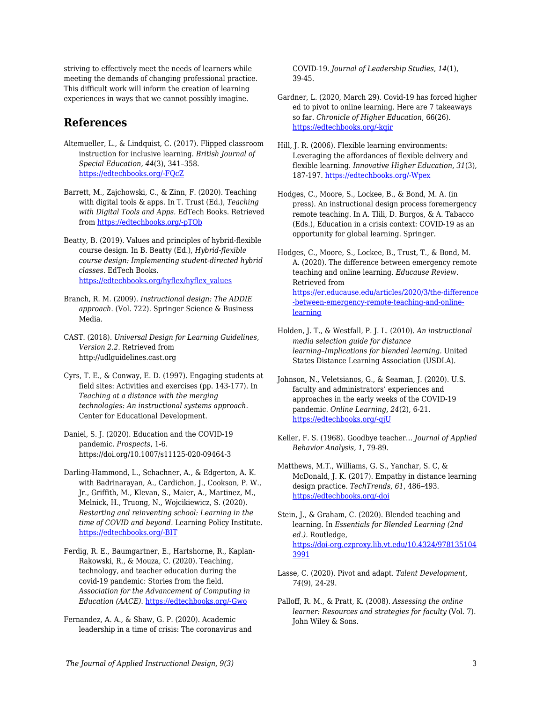striving to effectively meet the needs of learners while meeting the demands of changing professional practice. This difficult work will inform the creation of learning experiences in ways that we cannot possibly imagine.

### **References**

- Altemueller, L., & Lindquist, C. (2017). Flipped classroom instruction for inclusive learning. *British Journal of Special Education, 44*(3), 341–358. [https://edtechbooks.org/-FQcZ](https://doi.org/10.1111/1467-8578.12177)
- Barrett, M., Zajchowski, C., & Zinn, F. (2020). Teaching with digital tools & apps. In T. Trust (Ed.), *Teaching with Digital Tools and Apps.* EdTech Books. Retrieved from [https://edtechbooks.org/-pTQb](https://edtechbooks.org/digitaltoolsapps/teachingwithdigital)
- Beatty, B. (2019). Values and principles of hybrid-flexible course design. In B. Beatty (Ed.), *Hybrid-flexible course design: Implementing student-directed hybrid classes*. EdTech Books. [https://edtechbooks.org/hyflex/hyflex\\_values](https://edtechbooks.org/hyflex/hyflex_values)
- Branch, R. M. (2009). *Instructional design: The ADDIE approach*. (Vol. 722). Springer Science & Business Media.
- CAST. (2018). *Universal Design for Learning Guidelines, Version 2.2.* Retrieved from http://udlguidelines.cast.org
- Cyrs, T. E., & Conway, E. D. (1997). Engaging students at field sites: Activities and exercises (pp. 143-177). In *Teaching at a distance with the merging technologies: An instructional systems approach.* Center for Educational Development.
- Daniel, S. J. (2020). Education and the COVID-19 pandemic. *Prospects*, 1-6. https://doi.org/10.1007/s11125-020-09464-3
- Darling-Hammond, L., Schachner, A., & Edgerton, A. K. with Badrinarayan, A., Cardichon, J., Cookson, P. W., Jr., Griffith, M., Klevan, S., Maier, A., Martinez, M., Melnick, H., Truong, N., Wojcikiewicz, S. (2020). *Restarting and reinventing school: Learning in the time of COVID and beyond.* Learning Policy Institute. [https://edtechbooks.org/-BIT](https://learningpolicyinstitute.org/sites/default/files/product-files/Restart_Reinvent_Schools_COVID_REPORT.pdf)
- Ferdig, R. E., Baumgartner, E., Hartshorne, R., Kaplan-Rakowski, R., & Mouza, C. (2020). Teaching, technology, and teacher education during the covid-19 pandemic: Stories from the field. *Association for the Advancement of Computing in Education (AACE)*. [https://edtechbooks.org/-Gwo](https://www.researchgate.net/profile/Maria_Avgerinou/publication/342232081_The_5-Phase_Process_as_a_Balancing_Act_during_Times_of_Disruption_Transitioning_to_Virtual_Teaching_at_an_International_JK-5_School/links/5ee9cbc2299bf1faac5c8b6c/The-5-Phase-Process-as-a-Balancing-Act-during-Times-of-Disruption-Transitioning-to-Virtual-Teaching-at-an-International-JK-5-School.pdf)
- Fernandez, A. A., & Shaw, G. P. (2020). Academic leadership in a time of crisis: The coronavirus and

COVID‐19. *Journal of Leadership Studies*, *14*(1), 39-45.

- Gardner, L. (2020, March 29). Covid-19 has forced higher ed to pivot to online learning. Here are 7 takeaways so far. *Chronicle of Higher Education*, 66(26). [https://edtechbooks.org/-kqir](http://bonner.pbworks.com/w/file/fetch/139643901/Covid-19%20Has%20Forced%20Higher%20Ed%20to%20Pivot%20to%20Online%20Learning.%20Here%20Are%207%20Takeaways%20So%20Far.%20-%20The%20Ch.pdf)
- Hill, J. R. (2006). Flexible learning environments: Leveraging the affordances of flexible delivery and flexible learning. *Innovative Higher Education, 31*(3), 187-197. [https://edtechbooks.org/-Wpex](https://doi.org/10.1007/s10755-006-9016-6)
- Hodges, C., Moore, S., Lockee, B., & Bond, M. A. (in press). An instructional design process foremergency remote teaching. In A. Tlili, D. Burgos, & A. Tabacco (Eds.), Education in a crisis context: COVID-19 as an opportunity for global learning. Springer.
- Hodges, C., Moore, S., Lockee, B., Trust, T., & Bond, M. A. (2020). The difference between emergency remote teaching and online learning. *Educause Review*. Retrieved from [https://er.educause.edu/articles/2020/3/the-difference](https://er.educause.edu/articles/2020/3/the-difference-between-emergency-remote-teaching-and-online-learning) [-between-emergency-remote-teaching-and-online](https://er.educause.edu/articles/2020/3/the-difference-between-emergency-remote-teaching-and-online-learning)[learning](https://er.educause.edu/articles/2020/3/the-difference-between-emergency-remote-teaching-and-online-learning)
- Holden, J. T., & Westfall, P. J. L. (2010). *An instructional media selection guide for distance learning–Implications for blended learning.* United States Distance Learning Association (USDLA).
- Johnson, N., Veletsianos, G., & Seaman, J. (2020). U.S. faculty and administrators' experiences and approaches in the early weeks of the COVID-19 pandemic. *Online Learning, 24*(2), 6-21. [https://edtechbooks.org/-qjU](https://doi.org/10.24059/olj.v24i2.2285)
- Keller, F. S. (1968). Goodbye teacher… *Journal of Applied Behavior Analysis, 1*, 79-89.
- Matthews, M.T., Williams, G. S., Yanchar, S. C, & McDonald, J. K. (2017). Empathy in distance learning design practice. *TechTrends, 61*, 486–493. [https://edtechbooks.org/-doi](https://doi.org/10.1007/s11528-017-0212-2)
- Stein, J., & Graham, C. (2020). Blended teaching and learning. In *Essentials for Blended Learning (2nd ed.)*. Routledge, [https://doi-org.ezproxy.lib.vt.edu/10.4324/978135104](https://doi-org.ezproxy.lib.vt.edu/10.4324/9781351043991) [3991](https://doi-org.ezproxy.lib.vt.edu/10.4324/9781351043991)
- Lasse, C. (2020). Pivot and adapt. *Talent Development, 74*(9), 24-29.
- Palloff, R. M., & Pratt, K. (2008). *Assessing the online learner: Resources and strategies for faculty* (Vol. 7). John Wiley & Sons.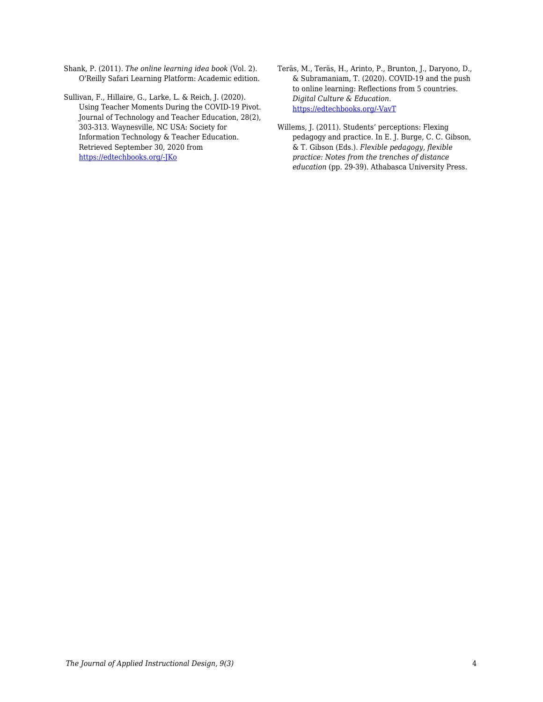Shank, P. (2011). *The online learning idea book* (Vol. 2). O'Reilly Safari Learning Platform: Academic edition.

Sullivan, F., Hillaire, G., Larke, L. & Reich, J. (2020). Using Teacher Moments During the COVID-19 Pivot. Journal of Technology and Teacher Education, 28(2), 303-313. Waynesville, NC USA: Society for Information Technology & Teacher Education. Retrieved September 30, 2020 from [https://edtechbooks.org/-JKo](https://www.learntechlib.org/primary/p/216171/)

Teräs, M., Teräs, H., Arinto, P., Brunton, J., Daryono, D., & Subramaniam, T. (2020). COVID-19 and the push to online learning: Reflections from 5 countries. *Digital Culture & Education*. [https://edtechbooks.org/-VavT](https://www.digitalcultureandeducation.com/reflections-on-covid19/reflections-from-5-countries)

Willems, J. (2011). Students' perceptions: Flexing pedagogy and practice. In E. J. Burge, C. C. Gibson, & T. Gibson (Eds.). *Flexible pedagogy, flexible practice: Notes from the trenches of distance education* (pp. 29-39). Athabasca University Press.